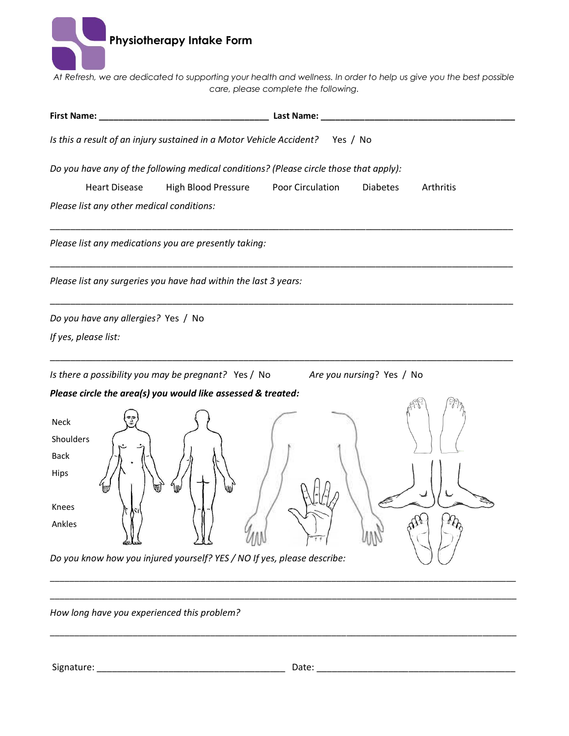

*At Refresh, we are dedicated to supporting your health and wellness. In order to help us give you the best possible care, please complete the following.*

| First Name:                                                                            | Last Name:                                       |
|----------------------------------------------------------------------------------------|--------------------------------------------------|
| Is this a result of an injury sustained in a Motor Vehicle Accident? Yes / No          |                                                  |
| Do you have any of the following medical conditions? (Please circle those that apply): |                                                  |
| <b>Heart Disease</b><br>High Blood Pressure                                            | Poor Circulation<br><b>Diabetes</b><br>Arthritis |
| Please list any other medical conditions:                                              |                                                  |
| Please list any medications you are presently taking:                                  |                                                  |
| Please list any surgeries you have had within the last 3 years:                        |                                                  |
| Do you have any allergies? Yes / No                                                    |                                                  |
| If yes, please list:                                                                   |                                                  |
| Is there a possibility you may be pregnant? Yes / No<br>Are you nursing? Yes / No      |                                                  |
| Please circle the area(s) you would like assessed & treated:                           |                                                  |
| <b>Neck</b><br>Shoulders<br><b>Back</b><br>Hips<br>Knees<br>Ankles                     |                                                  |
| Do you know how you injured yourself? YES / NO If yes, please describe:                |                                                  |

*How long have you experienced this problem?*

Signature: \_\_\_\_\_\_\_\_\_\_\_\_\_\_\_\_\_\_\_\_\_\_\_\_\_\_\_\_\_\_\_\_\_\_\_\_\_ Date: \_\_\_\_\_\_\_\_\_\_\_\_\_\_\_\_\_\_\_\_\_\_\_\_\_\_\_\_\_\_\_\_\_\_\_\_\_\_\_

\_\_\_\_\_\_\_\_\_\_\_\_\_\_\_\_\_\_\_\_\_\_\_\_\_\_\_\_\_\_\_\_\_\_\_\_\_\_\_\_\_\_\_\_\_\_\_\_\_\_\_\_\_\_\_\_\_\_\_\_\_\_\_\_\_\_\_\_\_\_\_\_\_\_\_\_\_\_\_\_\_\_\_\_\_\_\_\_\_\_\_\_\_\_\_\_

\_\_\_\_\_\_\_\_\_\_\_\_\_\_\_\_\_\_\_\_\_\_\_\_\_\_\_\_\_\_\_\_\_\_\_\_\_\_\_\_\_\_\_\_\_\_\_\_\_\_\_\_\_\_\_\_\_\_\_\_\_\_\_\_\_\_\_\_\_\_\_\_\_\_\_\_\_\_\_\_\_\_\_\_\_\_\_\_\_\_\_\_\_\_\_\_